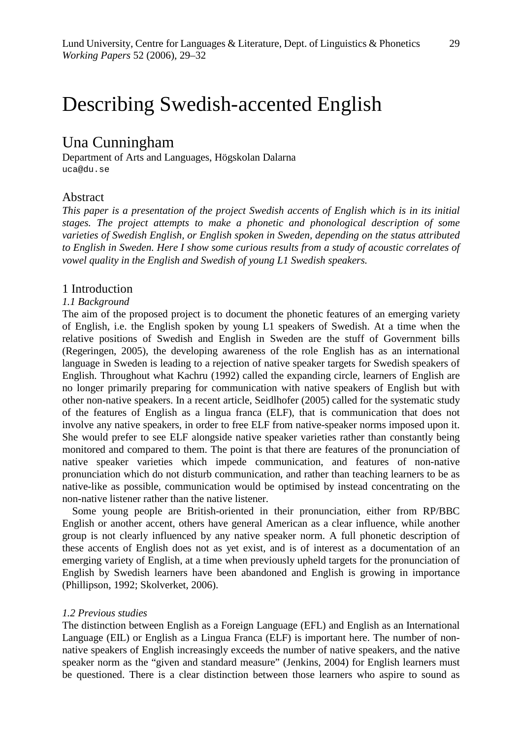# Describing Swedish-accented English

# Una Cunningham

Department of Arts and Languages, Högskolan Dalarna uca@du.se

# Abstract

*This paper is a presentation of the project Swedish accents of English which is in its initial stages. The project attempts to make a phonetic and phonological description of some varieties of Swedish English, or English spoken in Sweden, depending on the status attributed to English in Sweden. Here I show some curious results from a study of acoustic correlates of vowel quality in the English and Swedish of young L1 Swedish speakers.* 

#### 1 Introduction

#### *1.1 Background*

The aim of the proposed project is to document the phonetic features of an emerging variety of English, i.e. the English spoken by young L1 speakers of Swedish. At a time when the relative positions of Swedish and English in Sweden are the stuff of Government bills (Regeringen, 2005), the developing awareness of the role English has as an international language in Sweden is leading to a rejection of native speaker targets for Swedish speakers of English. Throughout what Kachru (1992) called the expanding circle, learners of English are no longer primarily preparing for communication with native speakers of English but with other non-native speakers. In a recent article, Seidlhofer (2005) called for the systematic study of the features of English as a lingua franca (ELF), that is communication that does not involve any native speakers, in order to free ELF from native-speaker norms imposed upon it. She would prefer to see ELF alongside native speaker varieties rather than constantly being monitored and compared to them. The point is that there are features of the pronunciation of native speaker varieties which impede communication, and features of non-native pronunciation which do not disturb communication, and rather than teaching learners to be as native-like as possible, communication would be optimised by instead concentrating on the non-native listener rather than the native listener.

Some young people are British-oriented in their pronunciation, either from RP/BBC English or another accent, others have general American as a clear influence, while another group is not clearly influenced by any native speaker norm. A full phonetic description of these accents of English does not as yet exist, and is of interest as a documentation of an emerging variety of English, at a time when previously upheld targets for the pronunciation of English by Swedish learners have been abandoned and English is growing in importance (Phillipson, 1992; Skolverket, 2006).

#### *1.2 Previous studies*

The distinction between English as a Foreign Language (EFL) and English as an International Language (EIL) or English as a Lingua Franca (ELF) is important here. The number of nonnative speakers of English increasingly exceeds the number of native speakers, and the native speaker norm as the "given and standard measure" (Jenkins, 2004) for English learners must be questioned. There is a clear distinction between those learners who aspire to sound as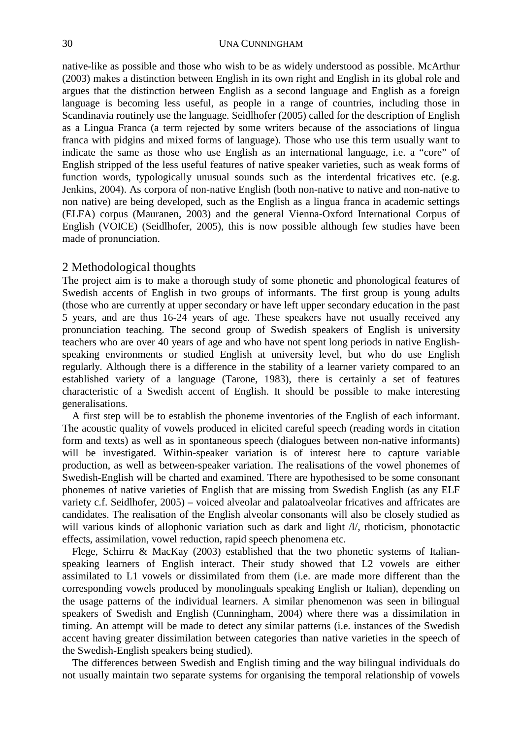native-like as possible and those who wish to be as widely understood as possible. McArthur (2003) makes a distinction between English in its own right and English in its global role and argues that the distinction between English as a second language and English as a foreign language is becoming less useful, as people in a range of countries, including those in Scandinavia routinely use the language. Seidlhofer (2005) called for the description of English as a Lingua Franca (a term rejected by some writers because of the associations of lingua franca with pidgins and mixed forms of language). Those who use this term usually want to indicate the same as those who use English as an international language, i.e. a "core" of English stripped of the less useful features of native speaker varieties, such as weak forms of function words, typologically unusual sounds such as the interdental fricatives etc. (e.g. Jenkins, 2004). As corpora of non-native English (both non-native to native and non-native to non native) are being developed, such as the English as a lingua franca in academic settings (ELFA) corpus (Mauranen, 2003) and the general Vienna-Oxford International Corpus of English (VOICE) (Seidlhofer, 2005), this is now possible although few studies have been made of pronunciation.

# 2 Methodological thoughts

The project aim is to make a thorough study of some phonetic and phonological features of Swedish accents of English in two groups of informants. The first group is young adults (those who are currently at upper secondary or have left upper secondary education in the past 5 years, and are thus 16-24 years of age. These speakers have not usually received any pronunciation teaching. The second group of Swedish speakers of English is university teachers who are over 40 years of age and who have not spent long periods in native Englishspeaking environments or studied English at university level, but who do use English regularly. Although there is a difference in the stability of a learner variety compared to an established variety of a language (Tarone, 1983), there is certainly a set of features characteristic of a Swedish accent of English. It should be possible to make interesting generalisations.

A first step will be to establish the phoneme inventories of the English of each informant. The acoustic quality of vowels produced in elicited careful speech (reading words in citation form and texts) as well as in spontaneous speech (dialogues between non-native informants) will be investigated. Within-speaker variation is of interest here to capture variable production, as well as between-speaker variation. The realisations of the vowel phonemes of Swedish-English will be charted and examined. There are hypothesised to be some consonant phonemes of native varieties of English that are missing from Swedish English (as any ELF variety c.f. Seidlhofer, 2005) – voiced alveolar and palatoalveolar fricatives and affricates are candidates. The realisation of the English alveolar consonants will also be closely studied as will various kinds of allophonic variation such as dark and light  $\Lambda$ , rhoticism, phonotactic effects, assimilation, vowel reduction, rapid speech phenomena etc.

Flege, Schirru & MacKay (2003) established that the two phonetic systems of Italianspeaking learners of English interact. Their study showed that L2 vowels are either assimilated to L1 vowels or dissimilated from them (i.e. are made more different than the corresponding vowels produced by monolinguals speaking English or Italian), depending on the usage patterns of the individual learners. A similar phenomenon was seen in bilingual speakers of Swedish and English (Cunningham, 2004) where there was a dissimilation in timing. An attempt will be made to detect any similar patterns (i.e. instances of the Swedish accent having greater dissimilation between categories than native varieties in the speech of the Swedish-English speakers being studied).

The differences between Swedish and English timing and the way bilingual individuals do not usually maintain two separate systems for organising the temporal relationship of vowels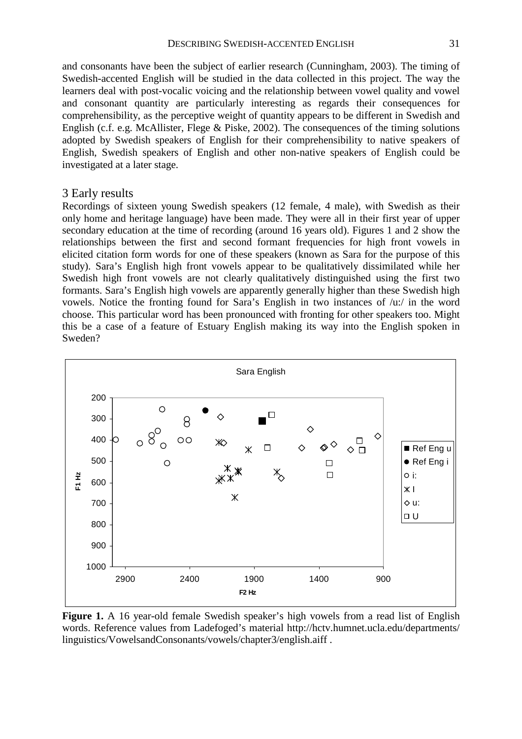and consonants have been the subject of earlier research (Cunningham, 2003). The timing of Swedish-accented English will be studied in the data collected in this project. The way the learners deal with post-vocalic voicing and the relationship between vowel quality and vowel and consonant quantity are particularly interesting as regards their consequences for comprehensibility, as the perceptive weight of quantity appears to be different in Swedish and English (c.f. e.g. McAllister, Flege & Piske, 2002). The consequences of the timing solutions adopted by Swedish speakers of English for their comprehensibility to native speakers of English, Swedish speakers of English and other non-native speakers of English could be investigated at a later stage.

### 3 Early results

Recordings of sixteen young Swedish speakers (12 female, 4 male), with Swedish as their only home and heritage language) have been made. They were all in their first year of upper secondary education at the time of recording (around 16 years old). Figures 1 and 2 show the relationships between the first and second formant frequencies for high front vowels in elicited citation form words for one of these speakers (known as Sara for the purpose of this study). Sara's English high front vowels appear to be qualitatively dissimilated while her Swedish high front vowels are not clearly qualitatively distinguished using the first two formants. Sara's English high vowels are apparently generally higher than these Swedish high vowels. Notice the fronting found for Sara's English in two instances of /u:/ in the word choose. This particular word has been pronounced with fronting for other speakers too. Might this be a case of a feature of Estuary English making its way into the English spoken in Sweden?



**Figure 1.** A 16 year-old female Swedish speaker's high vowels from a read list of English words. Reference values from Ladefoged's material http://hctv.humnet.ucla.edu/departments/ linguistics/VowelsandConsonants/vowels/chapter3/english.aiff .